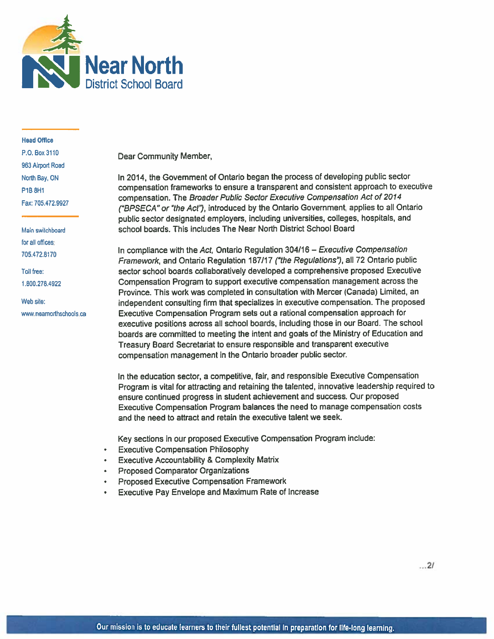

### **Head Office** P.O. Box 3110 963 Airport Road North Bay, ON P1B 8H1 Fax: 705.472.9927

Main switchboard for all offices. 705.472.8170

Toll free: 1.800.278.4922

Web site: www.nearnorthschools.ca Dear Community Member,

In 2014, the Government of Ontario began the process of developing public sector compensation frameworks to ensure a transparent and consistent approach to executive compensation. The Broader Public Sector Executive Compensation Act of 2014 ("BPSECA" or "the Act"), introduced by the Ontario Government, applies to all Ontario public sector designated employers, including universities, colleges, hospitals, and school boards. This includes The Near North District School Board

In compliance with the Act, Ontario Regulation 304/16 - Executive Compensation Framework, and Ontario Regulation 187/17 ("the Regulations"), all 72 Ontario public sector school boards collaboratively developed a comprehensive proposed Executive Compensation Program to support executive compensation management across the Province. This work was completed in consultation with Mercer (Canada) Limited, an independent consulting firm that specializes in executive compensation. The proposed Executive Compensation Program sets out a rational compensation approach for executive positions across all school boards, including those in our Board. The school boards are committed to meeting the intent and goals of the Ministry of Education and Treasury Board Secretariat to ensure responsible and transparent executive compensation management in the Ontario broader public sector.

In the education sector, a competitive, fair, and responsible Executive Compensation Program is vital for attracting and retaining the talented, innovative leadership required to ensure continued progress in student achievement and success. Our proposed Executive Compensation Program balances the need to manage compensation costs and the need to attract and retain the executive talent we seek.

Key sections in our proposed Executive Compensation Program include:

- **Executive Compensation Philosophy**
- **Executive Accountability & Complexity Matrix**
- **Proposed Comparator Organizations**
- Proposed Executive Compensation Framework
- Executive Pay Envelope and Maximum Rate of Increase

 $...21$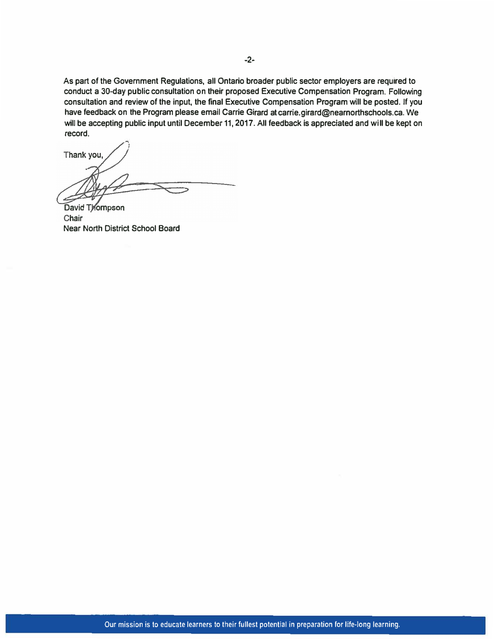**As part of the Government Regulations, all Ontario broader public sector employers are required to conduct a 30-day public consultation on their proposed Executive Compensation Program. Following consultation and review of the input, the final Executive Compensation Program will be posted. If you have feedback on the Program please email Carrie Girard at carrie.girard@nearnorthschools.ca. We will be accepting public input until December 11, 2017. All feedback is appreciated and will be kept on record.** 

Thank you

David Thompson Chair **Near North District School Board**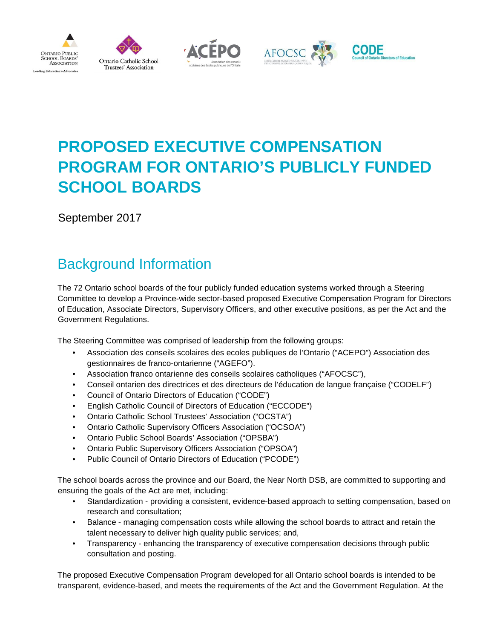









# **PROPOSED EXECUTIVE COMPENSATION PROGRAM FOR ONTARIO'S PUBLICLY FUNDED SCHOOL BOARDS**

September 2017

## Background Information

The 72 Ontario school boards of the four publicly funded education systems worked through a Steering Committee to develop a Province-wide sector-based proposed Executive Compensation Program for Directors of Education, Associate Directors, Supervisory Officers, and other executive positions, as per the Act and the Government Regulations.

The Steering Committee was comprised of leadership from the following groups:

- Association des conseils scolaires des ecoles publiques de l'Ontario ("ACEPO") Association des gestionnaires de franco-ontarienne ("AGEFO").
- Association franco ontarienne des conseils scolaires catholiques ("AFOCSC"),
- Conseil ontarien des directrices et des directeurs de l'éducation de langue française ("CODELF")
- Council of Ontario Directors of Education ("CODE")
- English Catholic Council of Directors of Education ("ECCODE")
- Ontario Catholic School Trustees' Association ("OCSTA")
- Ontario Catholic Supervisory Officers Association ("OCSOA")
- Ontario Public School Boards' Association ("OPSBA")
- Ontario Public Supervisory Officers Association ("OPSOA")
- Public Council of Ontario Directors of Education ("PCODE")

The school boards across the province and our Board, the Near North DSB, are committed to supporting and ensuring the goals of the Act are met, including:

- Standardization providing a consistent, evidence-based approach to setting compensation, based on research and consultation;
- Balance managing compensation costs while allowing the school boards to attract and retain the talent necessary to deliver high quality public services; and,
- Transparency enhancing the transparency of executive compensation decisions through public consultation and posting.

The proposed Executive Compensation Program developed for all Ontario school boards is intended to be transparent, evidence-based, and meets the requirements of the Act and the Government Regulation. At the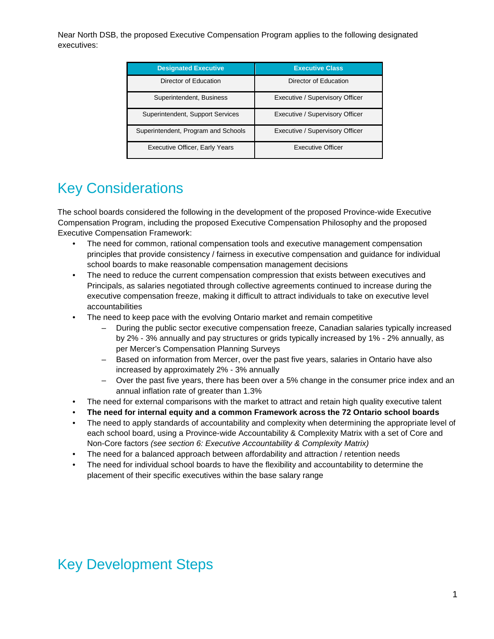Near North DSB, the proposed Executive Compensation Program applies to the following designated executives:

| <b>Designated Executive</b>           | <b>Executive Class</b>          |
|---------------------------------------|---------------------------------|
| Director of Education                 | Director of Education           |
| Superintendent, Business              | Executive / Supervisory Officer |
| Superintendent, Support Services      | Executive / Supervisory Officer |
| Superintendent, Program and Schools   | Executive / Supervisory Officer |
| <b>Executive Officer, Early Years</b> | <b>Executive Officer</b>        |

### Key Considerations

The school boards considered the following in the development of the proposed Province-wide Executive Compensation Program, including the proposed Executive Compensation Philosophy and the proposed Executive Compensation Framework:

- The need for common, rational compensation tools and executive management compensation principles that provide consistency / fairness in executive compensation and guidance for individual school boards to make reasonable compensation management decisions
- The need to reduce the current compensation compression that exists between executives and Principals, as salaries negotiated through collective agreements continued to increase during the executive compensation freeze, making it difficult to attract individuals to take on executive level accountabilities
- The need to keep pace with the evolving Ontario market and remain competitive
	- During the public sector executive compensation freeze, Canadian salaries typically increased by 2% - 3% annually and pay structures or grids typically increased by 1% - 2% annually, as per Mercer's Compensation Planning Surveys
	- Based on information from Mercer, over the past five years, salaries in Ontario have also increased by approximately 2% - 3% annually
	- Over the past five years, there has been over a 5% change in the consumer price index and an annual inflation rate of greater than 1.3%
- The need for external comparisons with the market to attract and retain high quality executive talent
- **The need for internal equity and a common Framework across the 72 Ontario school boards**
- The need to apply standards of accountability and complexity when determining the appropriate level of each school board, using a Province-wide Accountability & Complexity Matrix with a set of Core and Non-Core factors *(see section 6: Executive Accountability & Complexity Matrix)*
- The need for a balanced approach between affordability and attraction / retention needs
- The need for individual school boards to have the flexibility and accountability to determine the placement of their specific executives within the base salary range

### Key Development Steps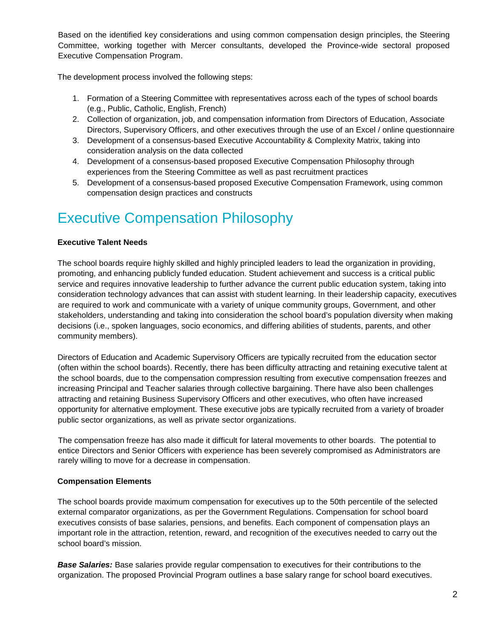Based on the identified key considerations and using common compensation design principles, the Steering Committee, working together with Mercer consultants, developed the Province-wide sectoral proposed Executive Compensation Program.

The development process involved the following steps:

- 1. Formation of a Steering Committee with representatives across each of the types of school boards (e.g., Public, Catholic, English, French)
- 2. Collection of organization, job, and compensation information from Directors of Education, Associate Directors, Supervisory Officers, and other executives through the use of an Excel / online questionnaire
- 3. Development of a consensus-based Executive Accountability & Complexity Matrix, taking into consideration analysis on the data collected
- 4. Development of a consensus-based proposed Executive Compensation Philosophy through experiences from the Steering Committee as well as past recruitment practices
- 5. Development of a consensus-based proposed Executive Compensation Framework, using common compensation design practices and constructs

### Executive Compensation Philosophy

#### **Executive Talent Needs**

The school boards require highly skilled and highly principled leaders to lead the organization in providing, promoting, and enhancing publicly funded education. Student achievement and success is a critical public service and requires innovative leadership to further advance the current public education system, taking into consideration technology advances that can assist with student learning. In their leadership capacity, executives are required to work and communicate with a variety of unique community groups, Government, and other stakeholders, understanding and taking into consideration the school board's population diversity when making decisions (i.e., spoken languages, socio economics, and differing abilities of students, parents, and other community members).

Directors of Education and Academic Supervisory Officers are typically recruited from the education sector (often within the school boards). Recently, there has been difficulty attracting and retaining executive talent at the school boards, due to the compensation compression resulting from executive compensation freezes and increasing Principal and Teacher salaries through collective bargaining. There have also been challenges attracting and retaining Business Supervisory Officers and other executives, who often have increased opportunity for alternative employment. These executive jobs are typically recruited from a variety of broader public sector organizations, as well as private sector organizations.

The compensation freeze has also made it difficult for lateral movements to other boards. The potential to entice Directors and Senior Officers with experience has been severely compromised as Administrators are rarely willing to move for a decrease in compensation.

#### **Compensation Elements**

The school boards provide maximum compensation for executives up to the 50th percentile of the selected external comparator organizations, as per the Government Regulations. Compensation for school board executives consists of base salaries, pensions, and benefits. Each component of compensation plays an important role in the attraction, retention, reward, and recognition of the executives needed to carry out the school board's mission.

*Base Salaries:* Base salaries provide regular compensation to executives for their contributions to the organization. The proposed Provincial Program outlines a base salary range for school board executives.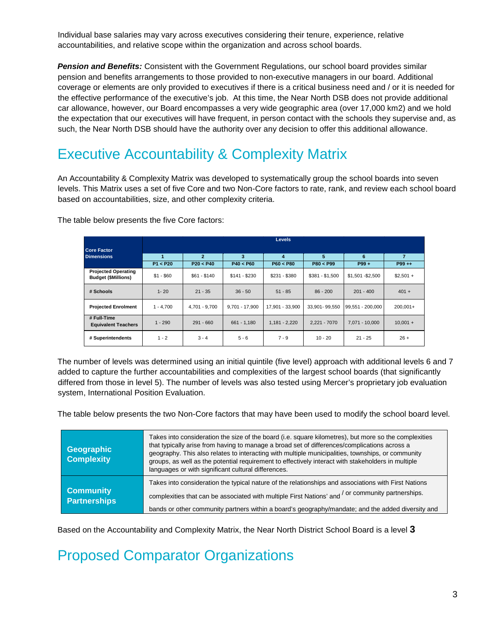Individual base salaries may vary across executives considering their tenure, experience, relative accountabilities, and relative scope within the organization and across school boards.

*Pension and Benefits:* Consistent with the Government Regulations, our school board provides similar pension and benefits arrangements to those provided to non-executive managers in our board. Additional coverage or elements are only provided to executives if there is a critical business need and / or it is needed for the effective performance of the executive's job. At this time, the Near North DSB does not provide additional car allowance, however, our Board encompasses a very wide geographic area (over 17,000 km2) and we hold the expectation that our executives will have frequent, in person contact with the schools they supervise and, as such, the Near North DSB should have the authority over any decision to offer this additional allowance.

### Executive Accountability & Complexity Matrix

An Accountability & Complexity Matrix was developed to systematically group the school boards into seven levels. This Matrix uses a set of five Core and two Non-Core factors to rate, rank, and review each school board based on accountabilities, size, and other complexity criteria.

|                                                          | <b>Levels</b> |                             |                  |                                      |                 |                  |                             |
|----------------------------------------------------------|---------------|-----------------------------|------------------|--------------------------------------|-----------------|------------------|-----------------------------|
| <b>Core Factor</b><br><b>Dimensions</b>                  | P1 < P20      | $\overline{2}$<br>P20 < P40 | 3<br>P40 < P60   | $\overline{\mathbf{4}}$<br>P60 < P80 | 5<br>P80 < P99  | 6<br>$P99 +$     | $\overline{7}$<br>$P99 + +$ |
| <b>Projected Operating</b><br><b>Budget (\$Millions)</b> | $$1 - $60$    | $$61 - $140$                | $$141 - $230$    | $$231 - $380$                        | $$381 - $1,500$ | \$1,501-\$2,500  | $$2.501 +$                  |
| # Schools                                                | $1 - 20$      | $21 - 35$                   | $36 - 50$        | $51 - 85$                            | $86 - 200$      | $201 - 400$      | $401 +$                     |
| <b>Projected Enrolment</b>                               | $1 - 4.700$   | 4,701 - 9,700               | $9.701 - 17.900$ | 17,901 - 33,900                      | 33.901-99.550   | 99.551 - 200.000 | $200.001+$                  |
| # Full-Time<br><b>Equivalent Teachers</b>                | $1 - 290$     | $291 - 660$                 | $661 - 1,180$    | $1,181 - 2,220$                      | 2,221 - 7070    | 7,071 - 10,000   | $10,001 +$                  |
| # Superintendents                                        | $1 - 2$       | $3 - 4$                     | $5 - 6$          | $7 - 9$                              | $10 - 20$       | $21 - 25$        | $26 +$                      |

The table below presents the five Core factors:

The number of levels was determined using an initial quintile (five level) approach with additional levels 6 and 7 added to capture the further accountabilities and complexities of the largest school boards (that significantly differed from those in level 5). The number of levels was also tested using Mercer's proprietary job evaluation system, International Position Evaluation.

The table below presents the two Non-Core factors that may have been used to modify the school board level.

| <b>Geographic</b><br><b>Complexity</b>  | Takes into consideration the size of the board (i.e. square kilometres), but more so the complexities<br>that typically arise from having to manage a broad set of differences/complications across a<br>geography. This also relates to interacting with multiple municipalities, townships, or community<br>groups, as well as the potential requirement to effectively interact with stakeholders in multiple<br>languages or with significant cultural differences. |
|-----------------------------------------|-------------------------------------------------------------------------------------------------------------------------------------------------------------------------------------------------------------------------------------------------------------------------------------------------------------------------------------------------------------------------------------------------------------------------------------------------------------------------|
| <b>Community</b><br><b>Partnerships</b> | Takes into consideration the typical nature of the relationships and associations with First Nations<br>or community partnerships.<br>complexities that can be associated with multiple First Nations' and <sup>/</sup><br>bands or other community partners within a board's geography/mandate; and the added diversity and                                                                                                                                            |

Based on the Accountability and Complexity Matrix, the Near North District School Board is a level **3**

Proposed Comparator Organizations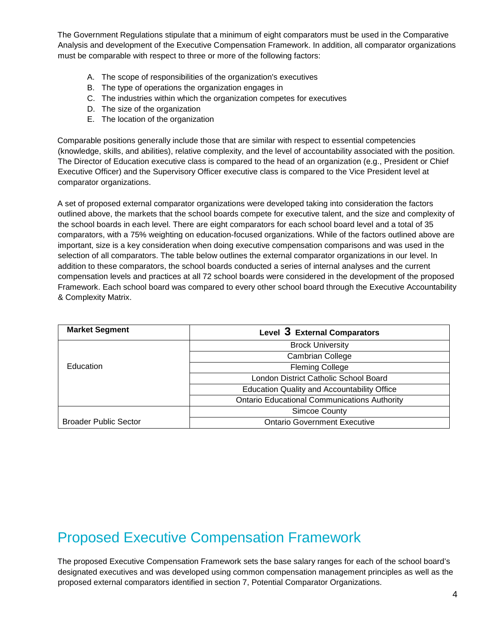The Government Regulations stipulate that a minimum of eight comparators must be used in the Comparative Analysis and development of the Executive Compensation Framework. In addition, all comparator organizations must be comparable with respect to three or more of the following factors:

- A. The scope of responsibilities of the organization's executives
- B. The type of operations the organization engages in
- C. The industries within which the organization competes for executives
- D. The size of the organization
- E. The location of the organization

Comparable positions generally include those that are similar with respect to essential competencies (knowledge, skills, and abilities), relative complexity, and the level of accountability associated with the position. The Director of Education executive class is compared to the head of an organization (e.g., President or Chief Executive Officer) and the Supervisory Officer executive class is compared to the Vice President level at comparator organizations.

A set of proposed external comparator organizations were developed taking into consideration the factors outlined above, the markets that the school boards compete for executive talent, and the size and complexity of the school boards in each level. There are eight comparators for each school board level and a total of 35 comparators, with a 75% weighting on education-focused organizations. While of the factors outlined above are important, size is a key consideration when doing executive compensation comparisons and was used in the selection of all comparators. The table below outlines the external comparator organizations in our level. In addition to these comparators, the school boards conducted a series of internal analyses and the current compensation levels and practices at all 72 school boards were considered in the development of the proposed Framework. Each school board was compared to every other school board through the Executive Accountability & Complexity Matrix.

| <b>Market Segment</b>        | Level 3 External Comparators                        |
|------------------------------|-----------------------------------------------------|
|                              | <b>Brock University</b>                             |
|                              | <b>Cambrian College</b>                             |
| Education                    | <b>Fleming College</b>                              |
|                              | London District Catholic School Board               |
|                              | <b>Education Quality and Accountability Office</b>  |
|                              | <b>Ontario Educational Communications Authority</b> |
|                              | <b>Simcoe County</b>                                |
| <b>Broader Public Sector</b> | <b>Ontario Government Executive</b>                 |

### Proposed Executive Compensation Framework

The proposed Executive Compensation Framework sets the base salary ranges for each of the school board's designated executives and was developed using common compensation management principles as well as the proposed external comparators identified in section 7, Potential Comparator Organizations.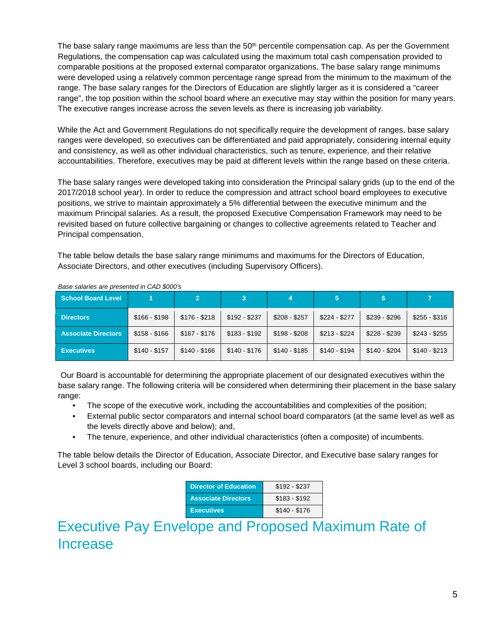The base salary range maximums are less than the 50<sup>th</sup> percentile compensation cap. As per the Government Regulations, the compensation cap was calculated using the maximum total cash compensation provided to comparable positions at the proposed external comparator organizations. The base salary range minimums were developed using a relatively common percentage range spread from the minimum to the maximum of the range. The base salary ranges for the Directors of Education are slightly larger as it is considered a "career range", the top position within the school board where an executive may stay within the position for many years. The executive ranges increase across the seven levels as there is increasing job variability.

While the Act and Government Regulations do not specifically require the development of ranges, base salary ranges were developed, so executives can be differentiated and paid appropriately, considering internal equity and consistency, as well as other individual characteristics, such as tenure, experience, and their relative accountabilities. Therefore, executives may be paid at different levels within the range based on these criteria.

The base salary ranges were developed taking into consideration the Principal salary grids (up to the end of the 2017/2018 school year). In order to reduce the compression and attract school board employees to executive positions, we strive to maintain approximately a 5% differential between the executive minimum and the maximum Principal salaries. As a result, the proposed Executive Compensation Framework may need to be revisited based on future collective bargaining or changes to collective agreements related to Teacher and Principal compensation.

The table below details the base salary range minimums and maximums for the Directors of Education, Associate Directors, and other executives (including Supervisory Officers).

| <b>School Board Level</b>  |               |               |               |               |               | 6             |               |
|----------------------------|---------------|---------------|---------------|---------------|---------------|---------------|---------------|
| <b>Directors</b>           | $$166 - $198$ | $$176 - $218$ | $$192 - $237$ | $$208 - $257$ | $$224 - $277$ | $$239 - $296$ | $$255 - $316$ |
| <b>Associate Directors</b> | $$158 - $166$ | $$167 - $176$ | $$183 - $192$ | \$198 - \$208 | $$213 - $224$ | \$228 - \$239 | $$243 - $255$ |
| <b>Executives</b>          | $$140 - $157$ | $$140 - $166$ | $$140 - $176$ | $$140 - $185$ | \$140 - \$194 | $$140 - $204$ | $$140 - $213$ |

*Base salaries are presented in CAD \$000's* 

Our Board is accountable for determining the appropriate placement of our designated executives within the base salary range. The following criteria will be considered when determining their placement in the base salary range:

- The scope of the executive work, including the accountabilities and complexities of the position;
- External public sector comparators and internal school board comparators (at the same level as well as the levels directly above and below); and,
- The tenure, experience, and other individual characteristics (often a composite) of incumbents.

The table below details the Director of Education, Associate Director, and Executive base salary ranges for Level 3 school boards, including our Board:

| <b>Director of Education</b> | $$192 - $237$ |
|------------------------------|---------------|
| <b>Associate Directors</b>   | $$183 - $192$ |
| <b>Executives</b>            | $$140 - $176$ |

### Executive Pay Envelope and Proposed Maximum Rate of Increase